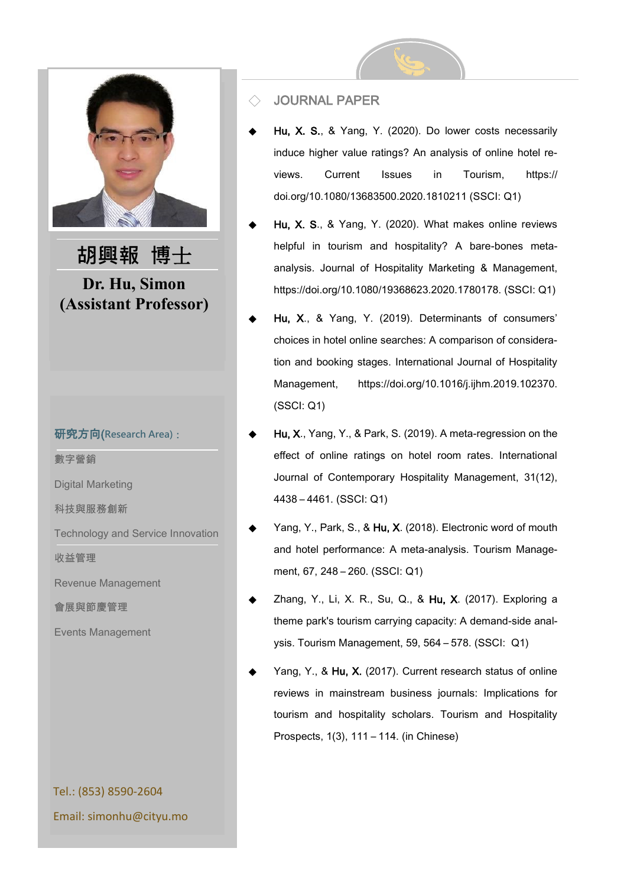

#### 研究方向(**Research Area)**:

數字營銷

Digital Marketing

科技與服務創新

Technology and Service Innovation

收益管理

Revenue Management

會展與節慶管理

Events Management

Tel.: (853) 8590-2604 Email: simonhu@cityu.mo

### **JOURNAL PAPER**

- Hu, X. S., & Yang, Y. (2020). Do lower costs necessarily induce higher value ratings? An analysis of online hotel reviews. Current Issues in Tourism, https:// doi.org/10.1080/13683500.2020.1810211 (SSCI: Q1)
- Hu, X. S., & Yang, Y. (2020). What makes online reviews helpful in tourism and hospitality? A bare-bones metaanalysis. Journal of Hospitality Marketing & Management, https://doi.org/10.1080/19368623.2020.1780178. (SSCI: Q1)
- Hu, X., & Yang, Y. (2019). Determinants of consumers' choices in hotel online searches: A comparison of consideration and booking stages. International Journal of Hospitality Management, https://doi.org/10.1016/j.ijhm.2019.102370. (SSCI: Q1)
- Hu, X., Yang, Y., & Park, S. (2019). A meta-regression on the effect of online ratings on hotel room rates. International Journal of Contemporary Hospitality Management, 31(12), 4438 – 4461. (SSCI: Q1)
- Yang, Y., Park, S., & Hu, X. (2018). Electronic word of mouth and hotel performance: A meta-analysis. Tourism Management, 67, 248 – 260. (SSCI: Q1)
- Zhang, Y., Li, X. R., Su, Q., & Hu, X. (2017). Exploring a theme park's tourism carrying capacity: A demand-side analysis. Tourism Management, 59, 564 – 578. (SSCI: Q1)
- Yang, Y., & Hu, X. (2017). Current research status of online reviews in mainstream business journals: Implications for tourism and hospitality scholars. Tourism and Hospitality Prospects, 1(3), 111 – 114. (in Chinese)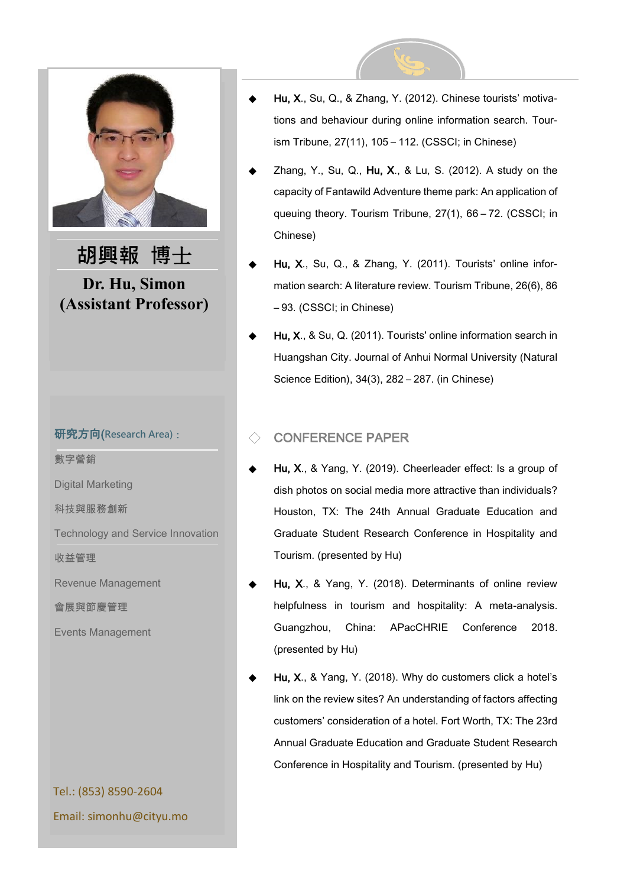

#### 研究方向(**Research Area)**:

數字營銷

Digital Marketing

科技與服務創新

Technology and Service Innovation

收益管理

Revenue Management

會展與節慶管理

Events Management

# Tel.: (853) 8590-2604 Email: simonhu@cityu.mo

- Hu, X., Su, Q., & Zhang, Y. (2012). Chinese tourists' motivations and behaviour during online information search. Tourism Tribune, 27(11), 105 – 112. (CSSCI; in Chinese)
- Zhang, Y., Su, Q., Hu, X., & Lu, S. (2012). A study on the capacity of Fantawild Adventure theme park: An application of queuing theory. Tourism Tribune, 27(1), 66 – 72. (CSSCI; in Chinese)
- Hu, X., Su, Q., & Zhang, Y. (2011). Tourists' online information search: A literature review. Tourism Tribune, 26(6), 86 – 93. (CSSCI; in Chinese)
- Hu, X., & Su, Q. (2011). Tourists' online information search in Huangshan City. Journal of Anhui Normal University (Natural Science Edition), 34(3), 282 – 287. (in Chinese)

# ◇ CONFERENCE PAPER

- Hu, X., & Yang, Y. (2019). Cheerleader effect: Is a group of dish photos on social media more attractive than individuals? Houston, TX: The 24th Annual Graduate Education and Graduate Student Research Conference in Hospitality and Tourism. (presented by Hu)
- Hu, X., & Yang, Y. (2018). Determinants of online review helpfulness in tourism and hospitality: A meta-analysis. Guangzhou, China: APacCHRIE Conference 2018. (presented by Hu)
- Hu, X., & Yang, Y. (2018). Why do customers click a hotel's link on the review sites? An understanding of factors affecting customers' consideration of a hotel. Fort Worth, TX: The 23rd Annual Graduate Education and Graduate Student Research Conference in Hospitality and Tourism. (presented by Hu)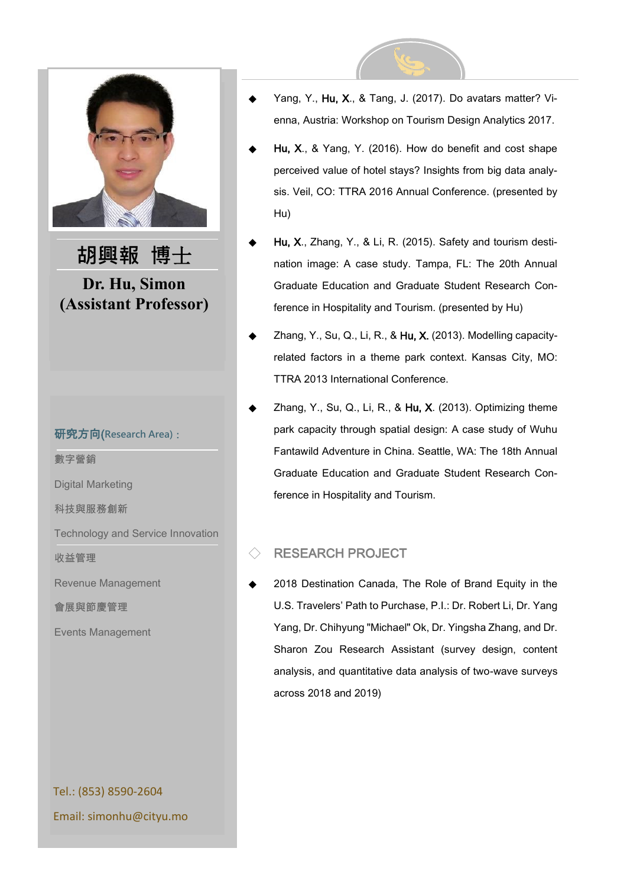

#### 研究方向(**Research Area)**:

數字營銷

Digital Marketing

科技與服務創新

Technology and Service Innovation

收益管理

Revenue Management

會展與節慶管理

Events Management

Tel.: (853) 8590-2604 Email: simonhu@cityu.mo



- Hu, X., & Yang, Y. (2016). How do benefit and cost shape perceived value of hotel stays? Insights from big data analysis. Veil, CO: TTRA 2016 Annual Conference. (presented by Hu)
- Hu, X., Zhang, Y., & Li, R. (2015). Safety and tourism destination image: A case study. Tampa, FL: The 20th Annual Graduate Education and Graduate Student Research Conference in Hospitality and Tourism. (presented by Hu)
- Zhang, Y., Su, Q., Li, R., & Hu, X. (2013). Modelling capacityrelated factors in a theme park context. Kansas City, MO: TTRA 2013 International Conference.
- Zhang, Y., Su, Q., Li, R., & Hu, X. (2013). Optimizing theme park capacity through spatial design: A case study of Wuhu Fantawild Adventure in China. Seattle, WA: The 18th Annual Graduate Education and Graduate Student Research Conference in Hospitality and Tourism.

## RESEARCH PROJECT

2018 Destination Canada, The Role of Brand Equity in the U.S. Travelers' Path to Purchase, P.I.: Dr. Robert Li, Dr. Yang Yang, Dr. Chihyung "Michael" Ok, Dr. Yingsha Zhang, and Dr. Sharon Zou Research Assistant (survey design, content analysis, and quantitative data analysis of two-wave surveys across 2018 and 2019)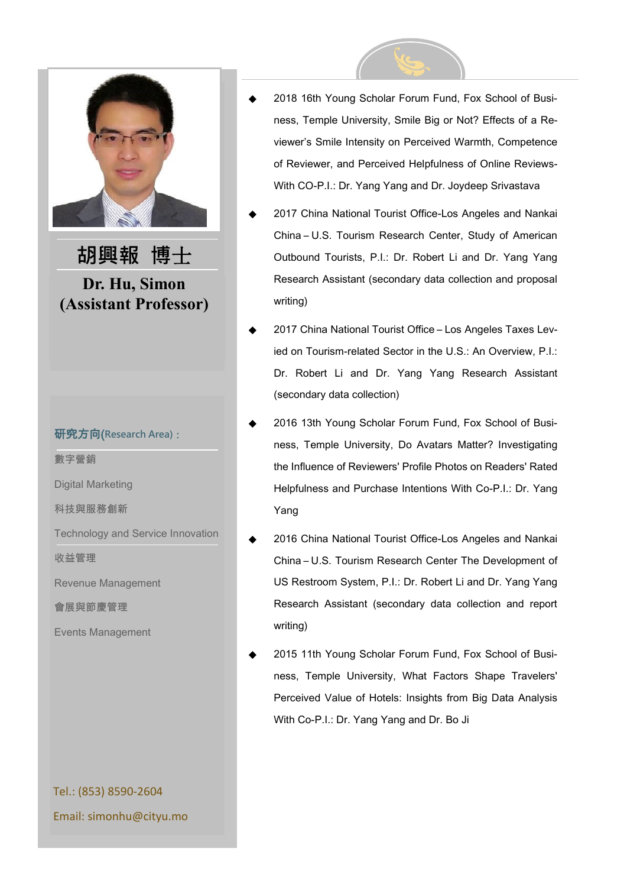

#### 研究方向(**Research Area)**:

數字營銷

Digital Marketing

科技與服務創新

Technology and Service Innovation

收益管理

Revenue Management

會展與節慶管理

Events Management

Tel.: (853) 8590-2604 Email: simonhu@cityu.mo

- 2018 16th Young Scholar Forum Fund, Fox School of Business, Temple University, Smile Big or Not? Effects of a Reviewer's Smile Intensity on Perceived Warmth, Competence of Reviewer, and Perceived Helpfulness of Online Reviews-With CO-P.I.: Dr. Yang Yang and Dr. Joydeep Srivastava
- 2017 China National Tourist Office-Los Angeles and Nankai China – U.S. Tourism Research Center, Study of American Outbound Tourists, P.I.: Dr. Robert Li and Dr. Yang Yang Research Assistant (secondary data collection and proposal writing)
- 2017 China National Tourist Office Los Angeles Taxes Levied on Tourism-related Sector in the U.S.: An Overview, P.I.: Dr. Robert Li and Dr. Yang Yang Research Assistant (secondary data collection)
- 2016 13th Young Scholar Forum Fund, Fox School of Business, Temple University, Do Avatars Matter? Investigating the Influence of Reviewers' Profile Photos on Readers' Rated Helpfulness and Purchase Intentions With Co-P.I.: Dr. Yang Yang
- 2016 China National Tourist Office-Los Angeles and Nankai China – U.S. Tourism Research Center The Development of US Restroom System, P.I.: Dr. Robert Li and Dr. Yang Yang Research Assistant (secondary data collection and report writing)
- 2015 11th Young Scholar Forum Fund, Fox School of Business, Temple University, What Factors Shape Travelers' Perceived Value of Hotels: Insights from Big Data Analysis With Co-P.I.: Dr. Yang Yang and Dr. Bo Ji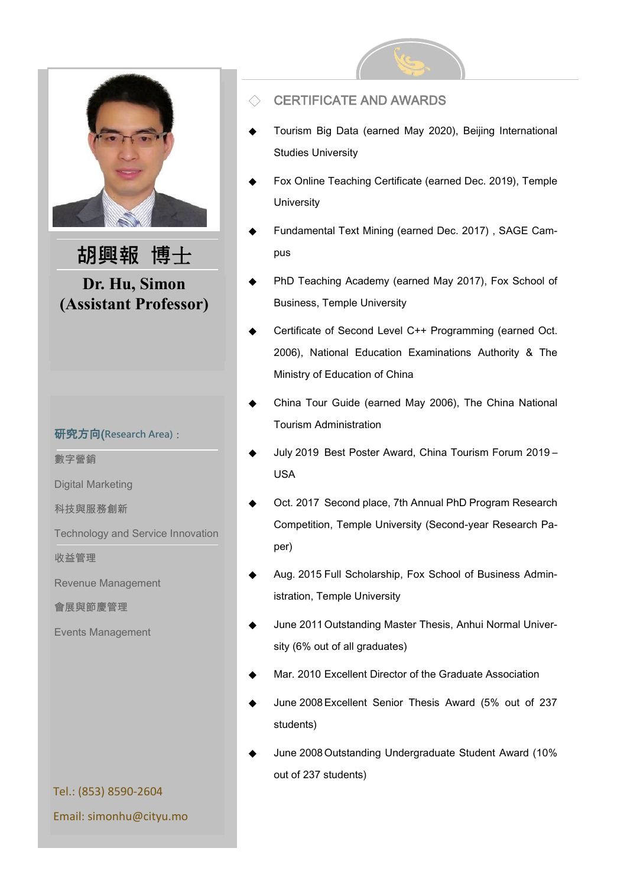

### 研究方向(**Research Area)**:

數字營銷

Digital Marketing

科技與服務創新

Technology and Service Innovation

收益管理

Revenue Management

會展與節慶管理

Events Management

June 2011 Outstanding Master Thesis, Anhui Normal Univer-

sity (6% out of all graduates)

- Mar. 2010 Excellent Director of the Graduate Association
- June 2008 Excellent Senior Thesis Award (5% out of 237 students)
- June 2008 Outstanding Undergraduate Student Award (10% out of 237 students)

# Tel.: (853) 8590-2604 Email: simonhu@cityu.mo

# **CERTIFICATE AND AWARDS**

- Tourism Big Data (earned May 2020), Beijing International Studies University
- Fox Online Teaching Certificate (earned Dec. 2019), Temple **University**
- Fundamental Text Mining (earned Dec. 2017), SAGE Campus
- PhD Teaching Academy (earned May 2017), Fox School of Business, Temple University
- Certificate of Second Level C++ Programming (earned Oct. 2006), National Education Examinations Authority & The Ministry of Education of China
- China Tour Guide (earned May 2006), The China National Tourism Administration
- July 2019 Best Poster Award, China Tourism Forum 2019 -USA
- Oct. 2017 Second place, 7th Annual PhD Program Research Competition, Temple University (Second-year Research Paper)
- Aug. 2015 Full Scholarship, Fox School of Business Administration, Temple University